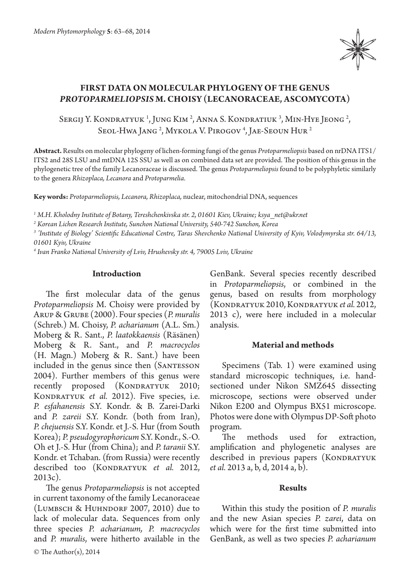

# **FIRST DATA ON MOLECULAR PHYLOGENY OF THE GENUS**  *PROTOPARMELIOPSIS* **M. CHOISY (LECANORACEAE, ASCOMYCOTA)**

Sergij Y. Kondratyuk <sup>1</sup>, Jung Kim <sup>2</sup>, Anna S. Kondratiuk <sup>3</sup>, Min-Hye Jeong <sup>2</sup>, Seol-Hwa Jang <sup>2</sup>, Mykola V. Pirogov <sup>4</sup>, Jae-Seoun Hur <sup>2</sup>

**Abstract.** Results on molecular phylogeny of lichen-forming fungi of the genus *Protoparmeliopsis* based on nrDNA ITS1/ ITS2 and 28S LSU and mtDNA 12S SSU as well as on combined data set are provided. The position of this genus in the phylogenetic tree of the family Lecanoraceae is discussed. The genus *Protoparmeliopsis* found to be polyphyletic similarly to the genera *Rhizoplaca, Lecanora* and *Protoparmelia*.

**Key words:** *Protoparmeliopsis, Lecanora, Rhizoplaca,* nuclear, mitochondrial DNA, sequences

*1 M.H. Kholodny Institute of Botany, Tereshchenkivska str. 2, 01601 Kiev, Ukraine; ksya\_net@ukr.net*

*2 Korean Lichen Research Institute, Sunchon National University, 540-742 Sunchon, Korea*

*3 'Institute of Biology' Scientific Educational Centre, Taras Shevchenko National University of Kyiv, Volodymyrska str. 64/13, 01601 Kyiv, Ukraine*

*4 Ivan Franko National University of Lviv, Hrushevsky str. 4, 79005 Lviv, Ukraine*

#### **Introduction**

The first molecular data of the genus *Protoparmeliopsis* M. Choisy were provided by Arup & Grube (2000). Four species (*P. muralis*  (Schreb.) M. Choisy, *P. acharianum* (A.L. Sm.) Moberg & R. Sant., *P. laatokkaensis* (Räsänen) Moberg & R. Sant., and *P. macrocyclos*  (H. Magn.) Moberg & R. Sant.) have been included in the genus since then (SANTESSON 2004). Further members of this genus were recently proposed (KONDRATYUK 2010; KONDRATYUK *et al.* 2012). Five species, i.e. *P. esfahanensis* S.Y. Kondr. & B. Zarei-Darki and *P. zareii* S.Y. Kondr. (both from Iran), *P. chejuensis* S.Y. Kondr. et J.-S. Hur (from South Korea); *P. pseudogyrophoricum* S.Y. Kondr., S.-O. Oh et J.-S. Hur (from China); and *P. taranii* S.Y. Kondr. et Tchaban. (from Russia) were recently described too (KONDRATYUK et al. 2012, 2013c).

The genus *Protoparmeliopsis* is not accepted in current taxonomy of the family Lecanoraceae (Lumbsch & Huhndorf 2007, 2010) due to lack of molecular data. Sequences from only three species *P. acharianum, P. macrocyclos*  and *P. muralis*, were hitherto available in the

© The Author(s), 2014

GenBank. Several species recently described in *Protoparmeliopsis*, or combined in the genus, based on results from morphology (Kondratyuk 2010, Kondratyuk *et al.* 2012, 2013 c), were here included in a molecular analysis.

## **Material and methods**

Specimens (Tab. 1) were examined using standard microscopic techniques, i.e. handsectioned under Nikon SMZ645 dissecting microscope, sections were observed under Nikon E200 and Olympus BX51 microscope. Photos were done with Olympus DP-Soft photo program.

The methods used for extraction, amplification and phylogenetic analyses are described in previous papers (KONDRATYUK *et al.* 2013 a, b, d, 2014 a, b).

#### **Results**

Within this study the position of *P. muralis*  and the new Asian species *P. zarei*, data on which were for the first time submitted into GenBank, as well as two species *P. acharianum*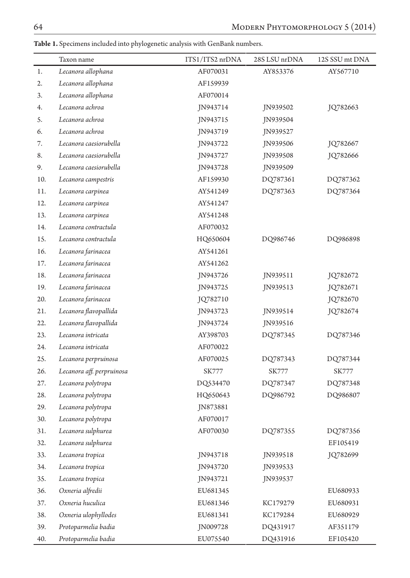**Table 1.** Specimens included into phylogenetic analysis with GenBank numbers.

|     | Taxon name                | ITS1/ITS2 nrDNA | 28S LSU nrDNA | 12S SSU mt DNA |
|-----|---------------------------|-----------------|---------------|----------------|
| 1.  | Lecanora allophana        | AF070031        | AY853376      | AY567710       |
| 2.  | Lecanora allophana        | AF159939        |               |                |
| 3.  | Lecanora allophana        | AF070014        |               |                |
| 4.  | Lecanora achroa           | JN943714        | JN939502      | JQ782663       |
| 5.  | Lecanora achroa           | JN943715        | JN939504      |                |
| 6.  | Lecanora achroa           | JN943719        | JN939527      |                |
| 7.  | Lecanora caesiorubella    | JN943722        | JN939506      | JQ782667       |
| 8.  | Lecanora caesiorubella    | JN943727        | JN939508      | JQ782666       |
| 9.  | Lecanora caesiorubella    | JN943728        | JN939509      |                |
| 10. | Lecanora campestris       | AF159930        | DQ787361      | DQ787362       |
| 11. | Lecanora carpinea         | AY541249        | DQ787363      | DQ787364       |
| 12. | Lecanora carpinea         | AY541247        |               |                |
| 13. | Lecanora carpinea         | AY541248        |               |                |
| 14. | Lecanora contractula      | AF070032        |               |                |
| 15. | Lecanora contractula      | HQ650604        | DQ986746      | DQ986898       |
| 16. | Lecanora farinacea        | AY541261        |               |                |
| 17. | Lecanora farinacea        | AY541262        |               |                |
| 18. | Lecanora farinacea        | JN943726        | JN939511      | JQ782672       |
| 19. | Lecanora farinacea        | JN943725        | JN939513      | JQ782671       |
| 20. | Lecanora farinacea        | JQ782710        |               | JQ782670       |
| 21. | Lecanora flavopallida     | JN943723        | JN939514      | JQ782674       |
| 22. | Lecanora flavopallida     | JN943724        | JN939516      |                |
| 23. | Lecanora intricata        | AY398703        | DQ787345      | DQ787346       |
| 24. | Lecanora intricata        | AF070022        |               |                |
| 25. | Lecanora perpruinosa      | AF070025        | DQ787343      | DQ787344       |
| 26. | Lecanora aff. perpruinosa | SK777           | SK777         | SK777          |
| 27. | Lecanora polytropa        | DQ534470        | DQ787347      | DQ787348       |
| 28. | Lecanora polytropa        | HQ650643        | DQ986792      | DQ986807       |
| 29. | Lecanora polytropa        | JN873881        |               |                |
| 30. | Lecanora polytropa        | AF070017        |               |                |
| 31. | Lecanora sulphurea        | AF070030        | DQ787355      | DQ787356       |
| 32. | Lecanora sulphurea        |                 |               | EF105419       |
| 33. | Lecanora tropica          | JN943718        | JN939518      | JQ782699       |
| 34. | Lecanora tropica          | JN943720        | JN939533      |                |
| 35. | Lecanora tropica          | JN943721        | JN939537      |                |
| 36. | Oxneria alfredii          | EU681345        |               | EU680933       |
| 37. | Oxneria huculica          | EU681346        | KC179279      | EU680931       |
| 38. | Oxneria ulophyllodes      | EU681341        | KC179284      | EU680929       |
| 39. | Protoparmelia badia       | JN009728        | DQ431917      | AF351179       |
| 40. | Protoparmelia badia       | EU075540        | DQ431916      | EF105420       |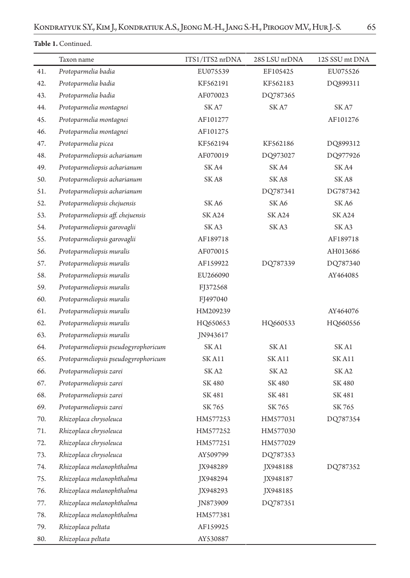# **Table 1.** Continued.

|     | Taxon name                           | ITS1/ITS2 nrDNA | 28S LSU nrDNA | 12S SSU mt DNA  |
|-----|--------------------------------------|-----------------|---------------|-----------------|
| 41. | Protoparmelia badia                  | EU075539        | EF105425      | EU075526        |
| 42. | Protoparmelia badia                  | KF562191        | KF562183      | DQ899311        |
| 43. | Protoparmelia badia                  | AF070023        | DQ787365      |                 |
| 44. | Protoparmelia montagnei              | SK A7           | SKA7          | SK A7           |
| 45. | Protoparmelia montagnei              | AF101277        |               | AF101276        |
| 46. | Protoparmelia montagnei              | AF101275        |               |                 |
| 47. | Protoparmelia picea                  | KF562194        | KF562186      | DQ899312        |
| 48. | Protoparmeliopsis acharianum         | AF070019        | DQ973027      | DQ977926        |
| 49. | Protoparmeliopsis acharianum         | SK A4           | SK A4         | SK A4           |
| 50. | Protoparmeliopsis acharianum         | SKA8            | SKA8          | SK A8           |
| 51. | Protoparmeliopsis acharianum         |                 | DQ787341      | DG787342        |
| 52. | Protoparmeliopsis chejuensis         | SK A6           | SKA6          | SKA6            |
| 53. | Protoparmeliopsis aff. chejuensis    | <b>SKA24</b>    | <b>SKA24</b>  | <b>SKA24</b>    |
| 54. | Protoparmeliopsis garovaglii         | SK A3           | SK A3         | SK A3           |
| 55. | Protoparmeliopsis garovaglii         | AF189718        |               | AF189718        |
| 56. | Protoparmeliopsis muralis            | AF070015        |               | AH013686        |
| 57. | Protoparmeliopsis muralis            | AF159922        | DQ787339      | DQ787340        |
| 58. | Protoparmeliopsis muralis            | EU266090        |               | AY464085        |
| 59. | Protoparmeliopsis muralis            | FJ372568        |               |                 |
| 60. | Protoparmeliopsis muralis            | FJ497040        |               |                 |
| 61. | Protoparmeliopsis muralis            | HM209239        |               | AY464076        |
| 62. | Protoparmeliopsis muralis            | HQ650653        | HQ660533      | HQ660556        |
| 63. | Protoparmeliopsis muralis            | JN943617        |               |                 |
| 64. | Protoparmeliopsis pseudogyrophoricum | SK A1           | SK A1         | SK A1           |
| 65. | Protoparmeliopsis pseudogyrophoricum | SK A11          | SK A11        | $\rm SK\,Al\,1$ |
| 66. | Protoparmeliopsis zarei              | SK A2           | SK A2         | SK A2           |
| 67. | Protoparmeliopsis zarei              | SK 480          | SK 480        | SK 480          |
| 68. | Protoparmeliopsis zarei              | SK 481          | SK 481        | SK 481          |
| 69. | Protoparmeliopsis zarei              | SK 765          | SK 765        | SK 765          |
| 70. | Rhizoplaca chrysoleuca               | HM577253        | HM577031      | DQ787354        |
| 71. | Rhizoplaca chrysoleuca               | HM577252        | HM577030      |                 |
| 72. | Rhizoplaca chrysoleuca               | HM577251        | HM577029      |                 |
| 73. | Rhizoplaca chrysoleuca               | AY509799        | DQ787353      |                 |
| 74. | Rhizoplaca melanophthalma            | JX948289        | JX948188      | DQ787352        |
| 75. | Rhizoplaca melanophthalma            | JX948294        | JX948187      |                 |
| 76. | Rhizoplaca melanophthalma            | JX948293        | JX948185      |                 |
| 77. | Rhizoplaca melanophthalma            | JN873909        | DQ787351      |                 |
| 78. | Rhizoplaca melanophthalma            | HM577381        |               |                 |
| 79. | Rhizoplaca peltata                   | AF159925        |               |                 |
| 80. | Rhizoplaca peltata                   | AY530887        |               |                 |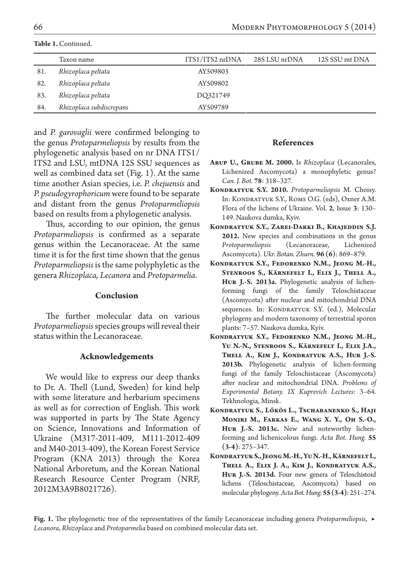|     | Taxon name               | ITS1/ITS2 nrDNA | 28S LSU nrDNA | 12S SSU mt DNA |
|-----|--------------------------|-----------------|---------------|----------------|
| 81. | Rhizoplaca peltata       | AY509803        |               |                |
| 82. | Rhizoplaca peltata       | AY509802        |               |                |
| 83. | Rhizoplaca peltata       | DQ321749        |               |                |
| 84. | Rhizoplaca subdiscrepans | AY509789        |               |                |

**Table 1.** Continued.

and *P. garovaglii* were confirmed belonging to the genus *Protoparmeliopsis* by results from the phylogenetic analysis based on nr DNA ITS1/ ITS2 and LSU, mtDNA 12S SSU sequences as well as combined data set (Fig. 1). At the same time another Asian species, i.e. *P. chejuensis* and *P. pseudogyrophoricum* were found to be separate and distant from the genus *Protoparmeliopsis* based on results from a phylogenetic analysis.

Thus, according to our opinion, the genus *Protoparmeliopsis* is confirmed as a separate genus within the Lecanoraceae. At the same time it is for the first time shown that the genus *Protoparmeliopsis* is the same polyphyletic as the genera *Rhizoplaca, Lecanora* and *Protoparmelia*.

## **Conclusion**

The further molecular data on various *Protoparmeliopsis* species groups will reveal their status within the Lecanoraceae.

## **Acknowledgements**

We would like to express our deep thanks to Dr. A. Thell (Lund, Sweden) for kind help with some literature and herbarium specimens as well as for correction of English. This work was supported in parts by The State Agency on Science, Innovations and Information of Ukraine (M317-2011-409, M111-2012-409 and M40-2013-409), the Korean Forest Service Program (KNA 2013) through the Korea National Arboretum, and the Korean National Research Resource Center Program (NRF, 2012M3A9B8021726).

### **References**

- **Arup U., Grube M. 2000.** Is *Rhizoplaca* (Lecanorales, Lichenized Ascomycota) a monophyletic genus? *Can. J. Bot.* **78**: 318–327.
- **Kondratyuk S.Y. 2010.** *Protoparmeliopsis* M. Choisy. In: Kondratyuk S.Y., Roms O.G. (eds), Oxner A.M. Flora of the lichens of Ukraine. Vol. **2**, Issue **3**: 130– 149. Naukova dumka, Kyiv.
- **Kondratyuk S.Y., Zarei-Darki B., Khajeddin S.J. 2012.** New species and combinations in the genus *Protoparmeliopsis* (Lecanoraceae, Lichenized Ascomycota). *Ukr. Botan. Zhurn.* **96 (6)**: 869–879.
- **Kondratyuk S.Y., Fedorenko N.M., Jeong M.-H., Stenroos S., Kärnefelt I., Elix J., Thell A., Hur J.-S. 2013a.** Phylogenetic analysis of lichenforming fungi of the family Teloschistaceae (Ascomycota) after nuclear and mitochondrial DNA sequences. In: KONDRATYUK S.Y. (ed.), Molecular phylogeny and modern taxonomy of terrestrial sporen plants: 7–57. Naukova dumka, Kyiv.
- **Kondratyuk S.Y., Fedorenko N.M., Jeong M.-H., Yu N.-N., Stenroos S., Kärnefelt I., Elix J.A., Thell A., Kim J., Kondratyuk A.S., Hur J.-S. 2013b.** Phylogenetic analysis of lichen-forming fungi of the family Teloschistaceae (Ascomycota) after nuclear and mitochondrial DNA. *Problems of Experimental Botany. IX Kuprevich Lectures*: 3–64. Tekhnologia, Minsk.
- **Kondratyuk S., Lőkös L., Tschabanenko S., Haji Moniri M., Farkas E., Wang X. Y., Oh S.-O., Hur J.-S. 2013c.** New and noteworthy lichenforming and lichenicolous fungi. *Acta Bot. Hung.* **55 (3-4)**: 275–347.
- **Kondratyuk S., Jeong M.-H., Yu N.-H., Kärnefelt I., Thell A., Elix J. A., Kim J., Kondratyuk A.S., Hur J.-S. 2013d.** Four new genera of Teloschistoid lichens (Teloschistaceae, Ascomycota) based on molecular phylogeny. *Acta Bot. Hung.* **55 (3-4)**: 251–274.

**Fig. 1.** The phylogenetic tree of the representatives of the family Lecanoraceae including genera *Protoparmeliopsis*, ▶*Lecanora*, *Rhizoplaca* and *Protoparmelia* based on combined molecular data set.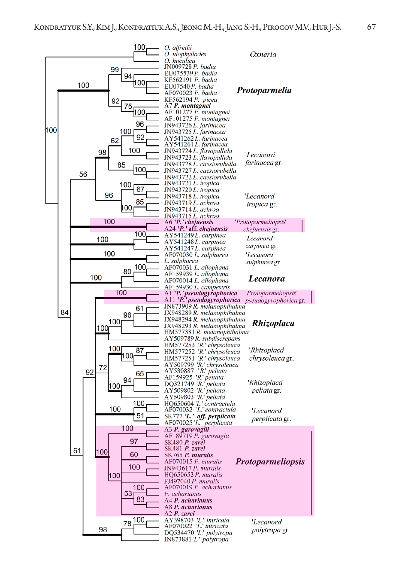